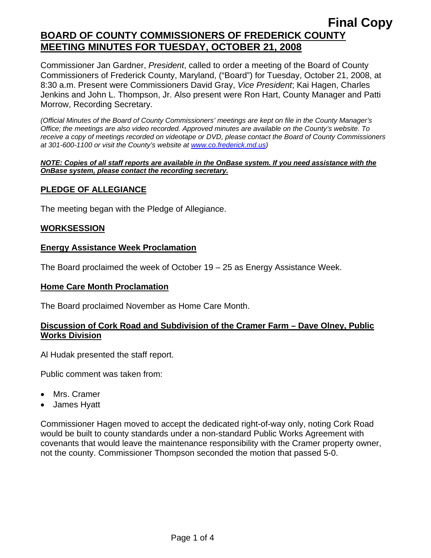Commissioner Jan Gardner, *President*, called to order a meeting of the Board of County Commissioners of Frederick County, Maryland, ("Board") for Tuesday, October 21, 2008, at 8:30 a.m. Present were Commissioners David Gray, *Vice President*; Kai Hagen, Charles Jenkins and John L. Thompson, Jr. Also present were Ron Hart, County Manager and Patti Morrow, Recording Secretary.

*(Official Minutes of the Board of County Commissioners' meetings are kept on file in the County Manager's Office; the meetings are also video recorded. Approved minutes are available on the County's website. To receive a copy of meetings recorded on videotape or DVD, please contact the Board of County Commissioners at 301-600-1100 or visit the County's website at [www.co.frederick.md.us\)](http://www.co.frederick.md.us/)* 

#### *NOTE: Copies of all staff reports are available in the OnBase system. If you need assistance with the OnBase system, please contact the recording secretary.*

# **PLEDGE OF ALLEGIANCE**

The meeting began with the Pledge of Allegiance.

### **WORKSESSION**

### **Energy Assistance Week Proclamation**

The Board proclaimed the week of October 19 – 25 as Energy Assistance Week.

#### **Home Care Month Proclamation**

The Board proclaimed November as Home Care Month.

### **Discussion of Cork Road and Subdivision of the Cramer Farm – Dave Olney, Public Works Division**

Al Hudak presented the staff report.

Public comment was taken from:

- Mrs. Cramer
- James Hyatt

Commissioner Hagen moved to accept the dedicated right-of-way only, noting Cork Road would be built to county standards under a non-standard Public Works Agreement with covenants that would leave the maintenance responsibility with the Cramer property owner, not the county. Commissioner Thompson seconded the motion that passed 5-0.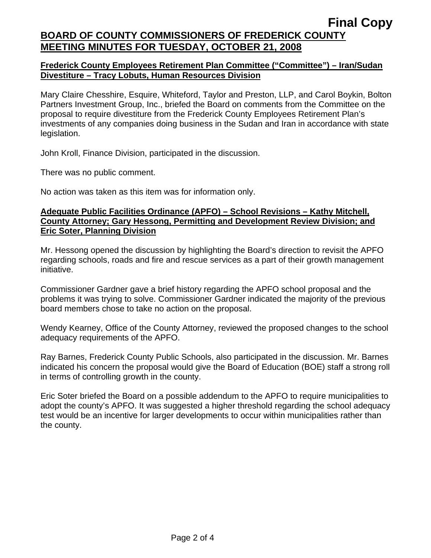# **Frederick County Employees Retirement Plan Committee ("Committee") – Iran/Sudan Divestiture – Tracy Lobuts, Human Resources Division**

Mary Claire Chesshire, Esquire, Whiteford, Taylor and Preston, LLP, and Carol Boykin, Bolton Partners Investment Group, Inc., briefed the Board on comments from the Committee on the proposal to require divestiture from the Frederick County Employees Retirement Plan's investments of any companies doing business in the Sudan and Iran in accordance with state legislation.

John Kroll, Finance Division, participated in the discussion.

There was no public comment.

No action was taken as this item was for information only.

### **Adequate Public Facilities Ordinance (APFO) – School Revisions – Kathy Mitchell, County Attorney; Gary Hessong, Permitting and Development Review Division; and Eric Soter, Planning Division**

Mr. Hessong opened the discussion by highlighting the Board's direction to revisit the APFO regarding schools, roads and fire and rescue services as a part of their growth management initiative.

Commissioner Gardner gave a brief history regarding the APFO school proposal and the problems it was trying to solve. Commissioner Gardner indicated the majority of the previous board members chose to take no action on the proposal.

Wendy Kearney, Office of the County Attorney, reviewed the proposed changes to the school adequacy requirements of the APFO.

Ray Barnes, Frederick County Public Schools, also participated in the discussion. Mr. Barnes indicated his concern the proposal would give the Board of Education (BOE) staff a strong roll in terms of controlling growth in the county.

Eric Soter briefed the Board on a possible addendum to the APFO to require municipalities to adopt the county's APFO. It was suggested a higher threshold regarding the school adequacy test would be an incentive for larger developments to occur within municipalities rather than the county.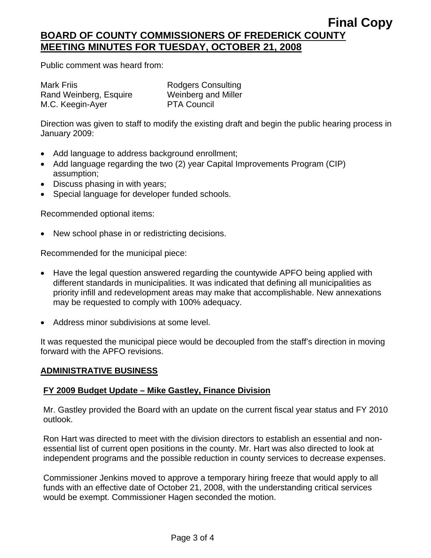Public comment was heard from:

Mark Friis **National State Rodgers Consulting** Rand Weinberg, Esquire Weinberg and Miller M.C. Keegin-Ayer PTA Council

Direction was given to staff to modify the existing draft and begin the public hearing process in January 2009:

- Add language to address background enrollment;
- Add language regarding the two (2) year Capital Improvements Program (CIP) assumption;
- Discuss phasing in with years;
- Special language for developer funded schools.

Recommended optional items:

• New school phase in or redistricting decisions.

Recommended for the municipal piece:

- Have the legal question answered regarding the countywide APFO being applied with different standards in municipalities. It was indicated that defining all municipalities as priority infill and redevelopment areas may make that accomplishable. New annexations may be requested to comply with 100% adequacy.
- Address minor subdivisions at some level.

It was requested the municipal piece would be decoupled from the staff's direction in moving forward with the APFO revisions.

# **ADMINISTRATIVE BUSINESS**

# **FY 2009 Budget Update – Mike Gastley, Finance Division**

Mr. Gastley provided the Board with an update on the current fiscal year status and FY 2010 outlook.

Ron Hart was directed to meet with the division directors to establish an essential and nonessential list of current open positions in the county. Mr. Hart was also directed to look at independent programs and the possible reduction in county services to decrease expenses.

Commissioner Jenkins moved to approve a temporary hiring freeze that would apply to all funds with an effective date of October 21, 2008, with the understanding critical services would be exempt. Commissioner Hagen seconded the motion.